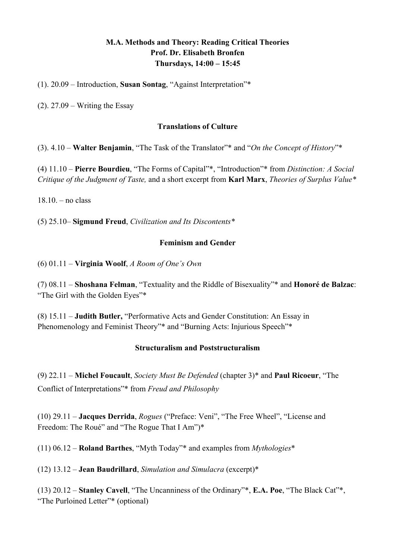# **M.A. Methods and Theory: Reading Critical Theories Prof. Dr. Elisabeth Bronfen Thursdays, 14:00 – 15:45**

(1). 20.09 – Introduction, **Susan Sontag**, "Against Interpretation"\*

 $(2)$ . 27.09 – Writing the Essay

### **Translations of Culture**

(3). 4.10 – **Walter Benjamin**, "The Task of the Translator"\* and "*On the Concept of History*"\*

(4) 11.10 – **Pierre Bourdieu**, "The Forms of Capital"\*, "Introduction"\* from *Distinction: A Social Critique of the Judgment of Taste,* and a short excerpt from **Karl Marx**, *Theories of Surplus Value\**

 $18.10 -$  no class

(5) 25.10– **Sigmund Freud**, *Civilization and Its Discontents\**

### **Feminism and Gender**

(6) 01.11 – **Virginia Woolf**, *A Room of One's Own*

(7) 08.11 – **Shoshana Felman**, "Textuality and the Riddle of Bisexuality"\* and **Honoré de Balzac**: "The Girl with the Golden Eyes"\*

(8) 15.11 – **Judith Butler,** "Performative Acts and Gender Constitution: An Essay in Phenomenology and Feminist Theory"\* and "Burning Acts: Injurious Speech"\*

# **Structuralism and Poststructuralism**

(9) 22.11 – **Michel Foucault**, *Society Must Be Defended* (chapter 3)\* and **Paul Ricoeur**, "The Conflict of Interpretations"\* from *Freud and Philosophy*

(10) 29.11 – **Jacques Derrida**, *Rogues* ("Preface: Veni", "The Free Wheel", "License and Freedom: The Roué" and "The Rogue That I Am")\*

(11) 06.12 – **Roland Barthes**, "Myth Today"\* and examples from *Mythologies*\*

(12) 13.12 – **Jean Baudrillard**, *Simulation and Simulacra* (excerpt)\*

(13) 20.12 – **Stanley Cavell**, "The Uncanniness of the Ordinary"\*, **E.A. Poe**, "The Black Cat"\*, "The Purloined Letter"\* (optional)